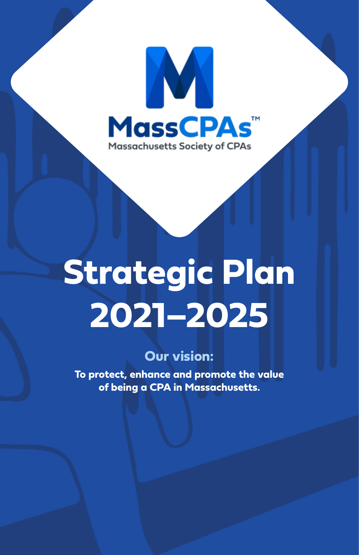

# **Strategic Plan 2021–2025**

## **Our vision:**

**To protect, enhance and promote the value of being a CPA in Massachusetts.**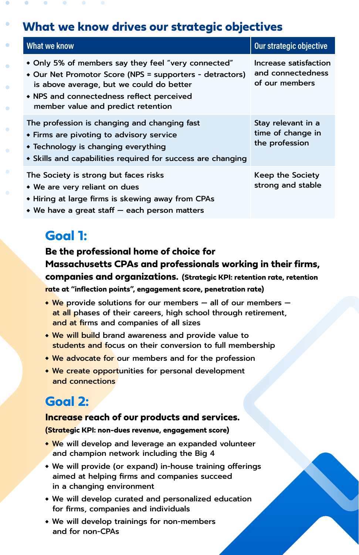## **What we know drives our strategic objectives**

| What we know                                                                                                                                                                                                                                   | Our strategic objective                                      |
|------------------------------------------------------------------------------------------------------------------------------------------------------------------------------------------------------------------------------------------------|--------------------------------------------------------------|
| • Only 5% of members say they feel "very connected"<br>• Our Net Promotor Score (NPS = supporters - detractors)<br>is above average, but we could do better<br>• NPS and connectedness reflect perceived<br>member value and predict retention | Increase satisfaction<br>and connectedness<br>of our members |
| The profession is changing and changing fast<br>• Firms are pivoting to advisory service<br>$\bullet$ Technology is changing everything<br>• Skills and capabilities required for success are changing                                         | Stay relevant in a<br>time of change in<br>the profession    |
| The Society is strong but faces risks<br>• We are very reliant on dues<br>• Hiring at large firms is skewing away from CPAs<br>• We have a great staff – each person matters                                                                   | Keep the Society<br>strong and stable                        |

## **Goal 1:**

#### **Be the professional home of choice for Massachusetts CPAs and professionals working in their firms, companies and organizations. (Strategic KPI: retention rate, retention rate at "inflection points", engagement score, penetration rate)**

 $\cdot$  We provide solutions for our members – all of our members – at all phases of their careers, high school through retirement, and at firms and companies of all sizes

- We will build brand awareness and provide value to students and focus on their conversion to full membership
- We advocate for our members and for the profession
- We create opportunities for personal development and connections

## **Goal 2:**

#### **Increase reach of our products and services.**

**(Strategic KPI: non-dues revenue, engagement score)**

- We will develop and leverage an expanded volunteer and champion network including the Big 4
- We will provide (or expand) in-house training offerings aimed at helping firms and companies succeed in a changing environment
- We will develop curated and personalized education for firms, companies and individuals
- We will develop trainings for non-members and for non-CPAs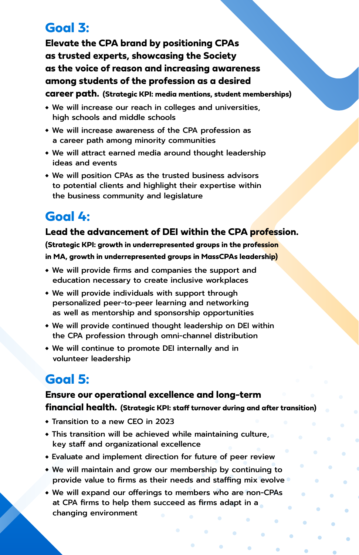## **Goal 3:**

**Elevate the CPA brand by positioning CPAs as trusted experts, showcasing the Society as the voice of reason and increasing awareness among students of the profession as a desired career path. (Strategic KPI: media mentions, student memberships)**

- We will increase our reach in colleges and universities, high schools and middle schools
- We will increase awareness of the CPA profession as a career path among minority communities
- We will attract earned media around thought leadership ideas and events
- We will position CPAs as the trusted business advisors to potential clients and highlight their expertise within the business community and legislature

# **Goal 4:**

#### **Lead the advancement of DEI within the CPA profession.**

**(Strategic KPI: growth in underrepresented groups in the profession in MA, growth in underrepresented groups in MassCPAs leadership)**

- We will provide firms and companies the support and education necessary to create inclusive workplaces
- We will provide individuals with support through personalized peer-to-peer learning and networking as well as mentorship and sponsorship opportunities
- We will provide continued thought leadership on DEI within the CPA profession through omni-channel distribution
- We will continue to promote DEI internally and in volunteer leadership

# **Goal 5:**

#### **Ensure our operational excellence and long-term financial health. (Strategic KPI: staff turnover during and after transition)**

- Transition to a new CEO in 2023
- This transition will be achieved while maintaining culture, key staff and organizational excellence
- Evaluate and implement direction for future of peer review
- We will maintain and grow our membership by continuing to provide value to firms as their needs and staffing mix evolve

۵

ö

ö

We will expand our offerings to members who are non-CPAs at CPA firms to help them succeed as firms adapt in a changing environment